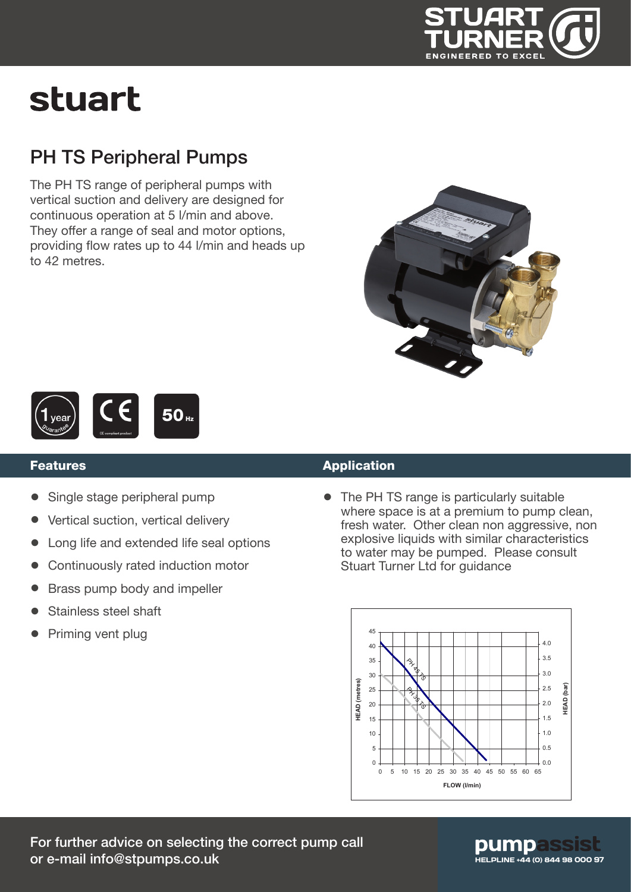

# stuart

### PH TS Peripheral Pumps

The PH TS range of peripheral pumps with vertical suction and delivery are designed for continuous operation at 5 l/min and above. They offer a range of seal and motor options, providing flow rates up to 44 l/min and heads up to 42 metres.





#### Features

- Single stage peripheral pump
- Vertical suction, vertical delivery
- Long life and extended life seal options
- Continuously rated induction motor
- Brass pump body and impeller
- Stainless steel shaft
- Priming vent plug

#### Application

• The PH TS range is particularly suitable where space is at a premium to pump clean, fresh water. Other clean non aggressive, non explosive liquids with similar characteristics to water may be pumped. Please consult Stuart Turner Ltd for guidance



### pumpas